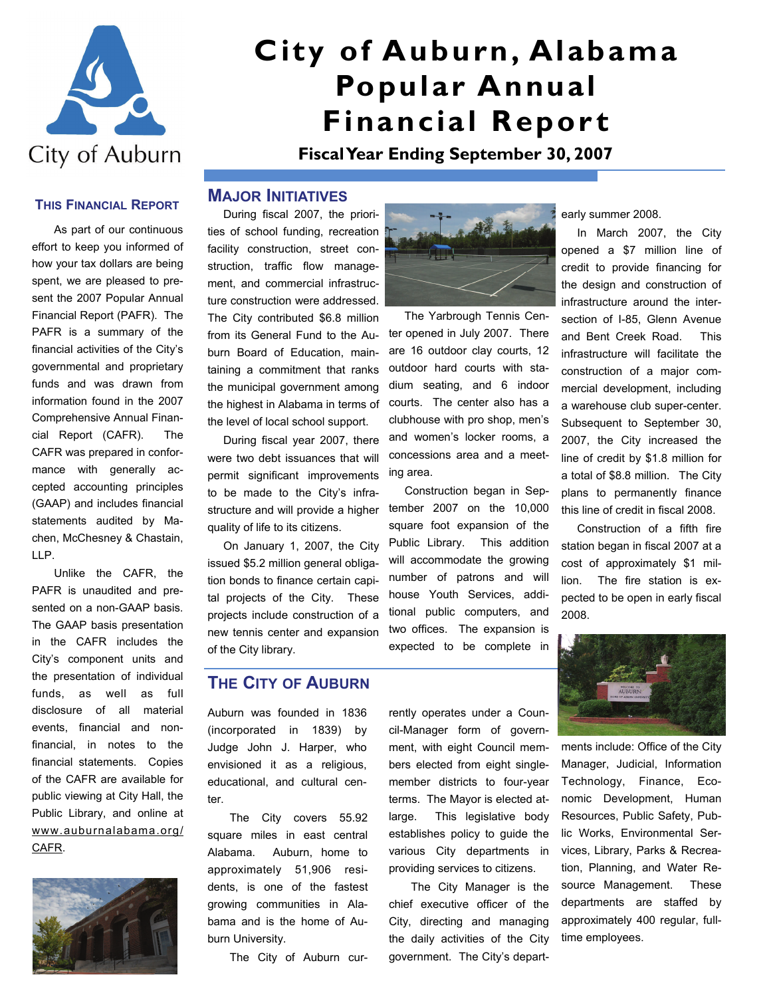

# **City of Auburn, Alabama Popular Annual Financial Report**

**Fiscal Year Ending September 30, 2007** 

#### **THIS FINANCIAL REPORT**

As part of our continuous effort to keep you informed of how your tax dollars are being spent, we are pleased to present the 2007 Popular Annual Financial Report (PAFR). The PAFR is a summary of the financial activities of the City's governmental and proprietary funds and was drawn from information found in the 2007 Comprehensive Annual Financial Report (CAFR). The CAFR was prepared in conformance with generally accepted accounting principles (GAAP) and includes financial statements audited by Machen, McChesney & Chastain, LLP.

Unlike the CAFR, the PAFR is unaudited and presented on a non-GAAP basis. The GAAP basis presentation in the CAFR includes the City's component units and the presentation of individual funds, as well as full disclosure of all material events, financial and nonfinancial, in notes to the financial statements. Copies of the CAFR are available for public viewing at City Hall, the Public Library, and online at www.auburnalabama.org/ CAFR.



#### **MAJOR INITIATIVES**

 During fiscal 2007, the priorities of school funding, recreation facility construction, street construction, traffic flow management, and commercial infrastructure construction were addressed. The City contributed \$6.8 million from its General Fund to the Auburn Board of Education, maintaining a commitment that ranks the municipal government among the highest in Alabama in terms of the level of local school support.

 During fiscal year 2007, there were two debt issuances that will permit significant improvements to be made to the City's infrastructure and will provide a higher quality of life to its citizens.

 On January 1, 2007, the City issued \$5.2 million general obligation bonds to finance certain capital projects of the City. These projects include construction of a new tennis center and expansion of the City library.

### **THE CITY OF AUBURN**

Auburn was founded in 1836 (incorporated in 1839) by Judge John J. Harper, who envisioned it as a religious, educational, and cultural center.

The City covers 55.92 square miles in east central Alabama. Auburn, home to approximately 51,906 residents, is one of the fastest growing communities in Alabama and is the home of Auburn University.

The City of Auburn cur-



 The Yarbrough Tennis Center opened in July 2007. There are 16 outdoor clay courts, 12 outdoor hard courts with stadium seating, and 6 indoor courts. The center also has a clubhouse with pro shop, men's and women's locker rooms, a concessions area and a meeting area.

 Construction began in September 2007 on the 10,000 square foot expansion of the Public Library. This addition will accommodate the growing number of patrons and will house Youth Services, additional public computers, and two offices. The expansion is expected to be complete in

cil-Manager form of government, with eight Council members elected from eight singlemember districts to four-year terms. The Mayor is elected atlarge. This legislative body establishes policy to guide the various City departments in providing services to citizens.

rently operates under a Coun-

The City Manager is the chief executive officer of the City, directing and managing the daily activities of the City government. The City's departearly summer 2008.

 In March 2007, the City opened a \$7 million line of credit to provide financing for the design and construction of infrastructure around the intersection of I-85, Glenn Avenue and Bent Creek Road. This infrastructure will facilitate the construction of a major commercial development, including a warehouse club super-center. Subsequent to September 30, 2007, the City increased the line of credit by \$1.8 million for a total of \$8.8 million. The City plans to permanently finance this line of credit in fiscal 2008.

 Construction of a fifth fire station began in fiscal 2007 at a cost of approximately \$1 million. The fire station is expected to be open in early fiscal 2008.



ments include: Office of the City Manager, Judicial, Information Technology, Finance, Economic Development, Human Resources, Public Safety, Public Works, Environmental Services, Library, Parks & Recreation, Planning, and Water Resource Management. These departments are staffed by approximately 400 regular, fulltime employees.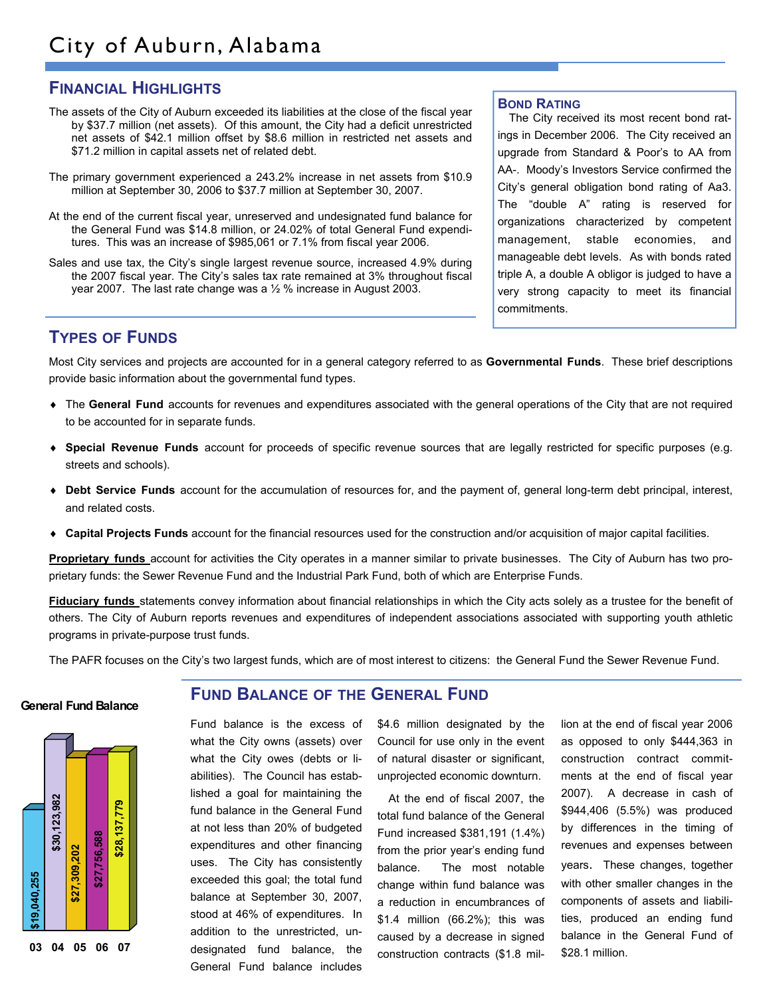# **FINANCIAL HIGHLIGHTS**

- The assets of the City of Auburn exceeded its liabilities at the close of the fiscal year by \$37.7 million (net assets). Of this amount, the City had a deficit unrestricted net assets of \$42.1 million offset by \$8.6 million in restricted net assets and \$71.2 million in capital assets net of related debt.
- The primary government experienced a 243.2% increase in net assets from \$10.9 million at September 30, 2006 to \$37.7 million at September 30, 2007.
- At the end of the current fiscal year, unreserved and undesignated fund balance for the General Fund was \$14.8 million, or 24.02% of total General Fund expenditures. This was an increase of \$985,061 or 7.1% from fiscal year 2006.
- Sales and use tax, the City's single largest revenue source, increased 4.9% during the 2007 fiscal year. The City's sales tax rate remained at 3% throughout fiscal year 2007. The last rate change was a ½ % increase in August 2003.

**BOND RATING**

The City received its most recent bond ratings in December 2006. The City received an upgrade from Standard & Poor's to AA from AA-. Moody's Investors Service confirmed the City's general obligation bond rating of Aa3. The "double A" rating is reserved for organizations characterized by competent management, stable economies, and manageable debt levels. As with bonds rated triple A, a double A obligor is judged to have a very strong capacity to meet its financial commitments.

## **TYPES OF FUNDS**

Most City services and projects are accounted for in a general category referred to as **Governmental Funds**. These brief descriptions provide basic information about the governmental fund types.

- ♦ The **General Fund** accounts for revenues and expenditures associated with the general operations of the City that are not required to be accounted for in separate funds.
- ♦ **Special Revenue Funds** account for proceeds of specific revenue sources that are legally restricted for specific purposes (e.g. streets and schools).
- ♦ **Debt Service Funds** account for the accumulation of resources for, and the payment of, general long-term debt principal, interest, and related costs.
- ♦ **Capital Projects Funds** account for the financial resources used for the construction and/or acquisition of major capital facilities.

**Proprietary funds** account for activities the City operates in a manner similar to private businesses. The City of Auburn has two proprietary funds: the Sewer Revenue Fund and the Industrial Park Fund, both of which are Enterprise Funds.

**Fiduciary funds** statements convey information about financial relationships in which the City acts solely as a trustee for the benefit of others. The City of Auburn reports revenues and expenditures of independent associations associated with supporting youth athletic programs in private-purpose trust funds.

The PAFR focuses on the City's two largest funds, which are of most interest to citizens: the General Fund the Sewer Revenue Fund.

#### **General Fund Balance**



#### **FUND BALANCE OF THE GENERAL FUND**

Fund balance is the excess of what the City owns (assets) over what the City owes (debts or liabilities). The Council has established a goal for maintaining the fund balance in the General Fund at not less than 20% of budgeted expenditures and other financing uses. The City has consistently exceeded this goal; the total fund balance at September 30, 2007, stood at 46% of expenditures. In addition to the unrestricted, undesignated fund balance, the General Fund balance includes

\$4.6 million designated by the Council for use only in the event of natural disaster or significant, unprojected economic downturn.

At the end of fiscal 2007, the total fund balance of the General Fund increased \$381,191 (1.4%) from the prior year's ending fund balance. The most notable change within fund balance was a reduction in encumbrances of \$1.4 million (66.2%); this was caused by a decrease in signed construction contracts (\$1.8 million at the end of fiscal year 2006 as opposed to only \$444,363 in construction contract commitments at the end of fiscal year 2007). A decrease in cash of \$944,406 (5.5%) was produced by differences in the timing of revenues and expenses between years. These changes, together with other smaller changes in the components of assets and liabilities, produced an ending fund balance in the General Fund of \$28.1 million.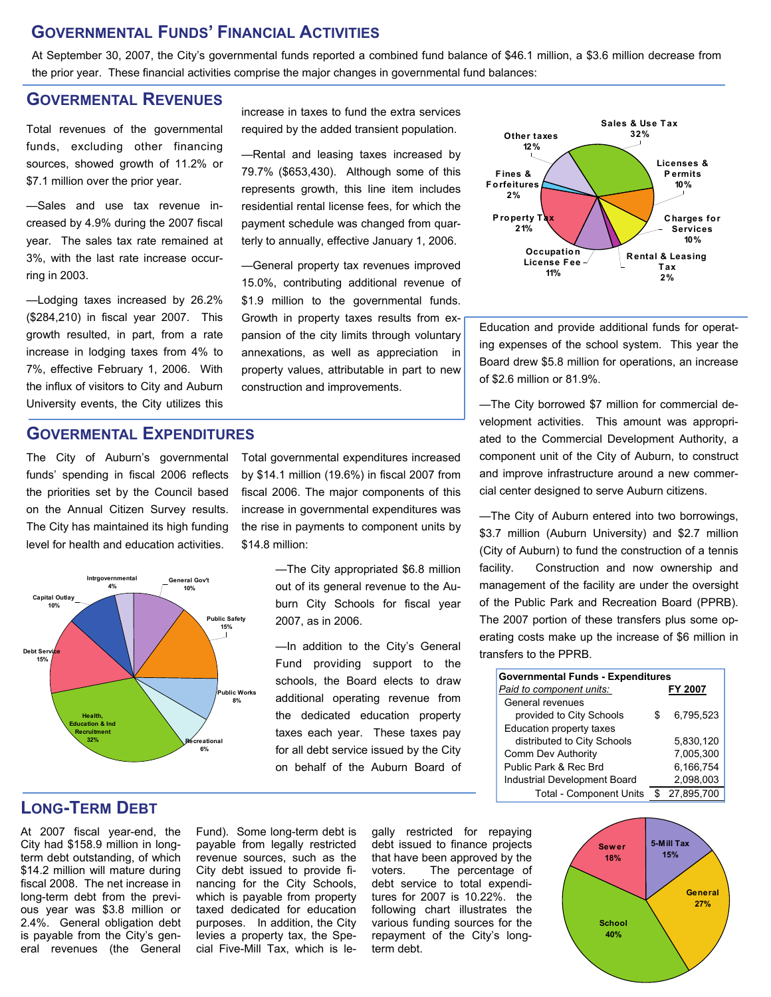## **GOVERNMENTAL FUNDS' FINANCIAL ACTIVITIES**

At September 30, 2007, the City's governmental funds reported a combined fund balance of \$46.1 million, a \$3.6 million decrease from the prior year. These financial activities comprise the major changes in governmental fund balances:

## **GOVERMENTAL REVENUES**

Total revenues of the governmental funds, excluding other financing sources, showed growth of 11.2% or \$7.1 million over the prior year.

—Sales and use tax revenue increased by 4.9% during the 2007 fiscal year. The sales tax rate remained at 3%, with the last rate increase occurring in 2003.

—Lodging taxes increased by 26.2% (\$284,210) in fiscal year 2007. This growth resulted, in part, from a rate increase in lodging taxes from 4% to 7%, effective February 1, 2006. With the influx of visitors to City and Auburn University events, the City utilizes this

## **GOVERMENTAL EXPENDITURES**

The City of Auburn's governmental funds' spending in fiscal 2006 reflects the priorities set by the Council based on the Annual Citizen Survey results. The City has maintained its high funding level for health and education activities.



increase in taxes to fund the extra services required by the added transient population.

—Rental and leasing taxes increased by 79.7% (\$653,430). Although some of this represents growth, this line item includes residential rental license fees, for which the payment schedule was changed from quarterly to annually, effective January 1, 2006.

—General property tax revenues improved 15.0%, contributing additional revenue of \$1.9 million to the governmental funds. Growth in property taxes results from expansion of the city limits through voluntary annexations, as well as appreciation in property values, attributable in part to new construction and improvements.

Total governmental expenditures increased by \$14.1 million (19.6%) in fiscal 2007 from fiscal 2006. The major components of this increase in governmental expenditures was the rise in payments to component units by \$14.8 million:

> —The City appropriated \$6.8 million out of its general revenue to the Auburn City Schools for fiscal year 2007, as in 2006.

—In addition to the City's General Fund providing support to the schools, the Board elects to draw additional operating revenue from the dedicated education property taxes each year. These taxes pay for all debt service issued by the City on behalf of the Auburn Board of



Education and provide additional funds for operating expenses of the school system. This year the Board drew \$5.8 million for operations, an increase of \$2.6 million or 81.9%.

—The City borrowed \$7 million for commercial development activities. This amount was appropriated to the Commercial Development Authority, a component unit of the City of Auburn, to construct and improve infrastructure around a new commercial center designed to serve Auburn citizens.

—The City of Auburn entered into two borrowings, \$3.7 million (Auburn University) and \$2.7 million (City of Auburn) to fund the construction of a tennis facility. Construction and now ownership and management of the facility are under the oversight of the Public Park and Recreation Board (PPRB). The 2007 portion of these transfers plus some operating costs make up the increase of \$6 million in transfers to the PPRB.

| <b>Governmental Funds - Expenditures</b> |   |            |
|------------------------------------------|---|------------|
| Paid to component units:                 |   | FY 2007    |
| General revenues                         |   |            |
| provided to City Schools                 | S | 6,795,523  |
| Education property taxes                 |   |            |
| distributed to City Schools              |   | 5.830.120  |
| Comm Dev Authority                       |   | 7,005,300  |
| Public Park & Rec Brd                    |   | 6,166,754  |
| Industrial Development Board             |   | 2,098,003  |
| <b>Total - Component Units</b>           |   | 27.895.700 |

# **LONG-TERM DEBT**

At 2007 fiscal year-end, the City had \$158.9 million in longterm debt outstanding, of which \$14.2 million will mature during fiscal 2008. The net increase in long-term debt from the previous year was \$3.8 million or 2.4%. General obligation debt is payable from the City's general revenues (the General

Fund). Some long-term debt is payable from legally restricted revenue sources, such as the City debt issued to provide financing for the City Schools, which is payable from property taxed dedicated for education purposes. In addition, the City levies a property tax, the Special Five-Mill Tax, which is le-

gally restricted for repaying debt issued to finance projects that have been approved by the voters. The percentage of debt service to total expenditures for 2007 is 10.22%. the following chart illustrates the various funding sources for the repayment of the City's longterm debt.